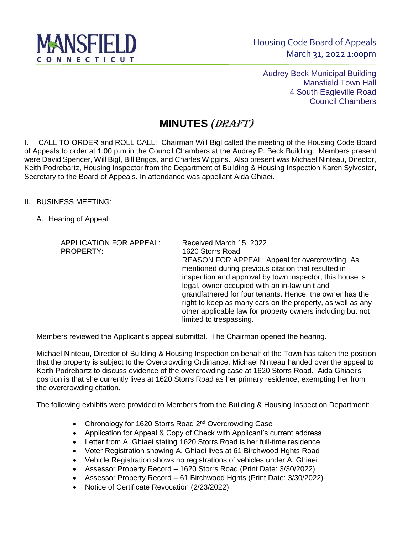

Audrey Beck Municipal Building Mansfield Town Hall 4 South Eagleville Road Council Chambers

## **MINUTES** *(*DRAFT)

I. CALL TO ORDER and ROLL CALL: Chairman Will Bigl called the meeting of the Housing Code Board of Appeals to order at 1:00 p.m in the Council Chambers at the Audrey P. Beck Building. Members present were David Spencer, Will Bigl, Bill Briggs, and Charles Wiggins. Also present was Michael Ninteau, Director, Keith Podrebartz, Housing Inspector from the Department of Building & Housing Inspection Karen Sylvester, Secretary to the Board of Appeals. In attendance was appellant Aida Ghiaei.

II. BUSINESS MEETING:

A. Hearing of Appeal:

APPLICATION FOR APPEAL: Received March 15, 2022 PROPERTY: 1620 Storrs Road REASON FOR APPEAL: Appeal for overcrowding. As mentioned during previous citation that resulted in inspection and approval by town inspector, this house is legal, owner occupied with an in-law unit and grandfathered for four tenants. Hence, the owner has the right to keep as many cars on the property, as well as any other applicable law for property owners including but not limited to trespassing.

Members reviewed the Applicant's appeal submittal. The Chairman opened the hearing.

Michael Ninteau, Director of Building & Housing Inspection on behalf of the Town has taken the position that the property is subject to the Overcrowding Ordinance. Michael Ninteau handed over the appeal to Keith Podrebartz to discuss evidence of the overcrowding case at 1620 Storrs Road. Aida Ghiaei's position is that she currently lives at 1620 Storrs Road as her primary residence, exempting her from the overcrowding citation.

The following exhibits were provided to Members from the Building & Housing Inspection Department:

- Chronology for 1620 Storrs Road 2<sup>nd</sup> Overcrowding Case
- Application for Appeal & Copy of Check with Applicant's current address
- Letter from A. Ghiaei stating 1620 Storrs Road is her full-time residence
- Voter Registration showing A. Ghiaei lives at 61 Birchwood Hghts Road
- Vehicle Registration shows no registrations of vehicles under A. Ghiaei
- Assessor Property Record 1620 Storrs Road (Print Date: 3/30/2022)
- Assessor Property Record 61 Birchwood Hghts (Print Date: 3/30/2022)
- Notice of Certificate Revocation (2/23/2022)